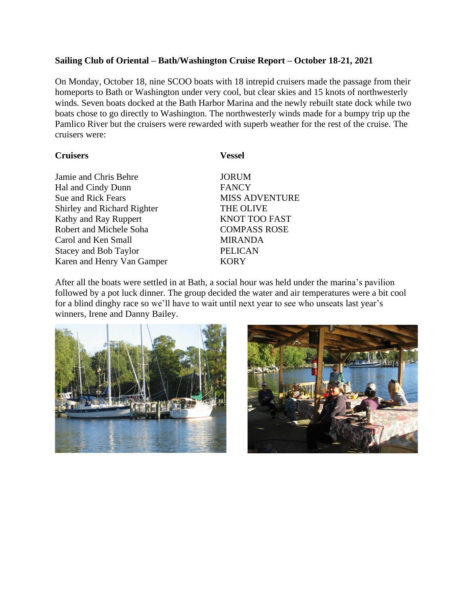## **Sailing Club of Oriental – Bath/Washington Cruise Report – October 18-21, 2021**

On Monday, October 18, nine SCOO boats with 18 intrepid cruisers made the passage from their homeports to Bath or Washington under very cool, but clear skies and 15 knots of northwesterly winds. Seven boats docked at the Bath Harbor Marina and the newly rebuilt state dock while two boats chose to go directly to Washington. The northwesterly winds made for a bumpy trip up the Pamlico River but the cruisers were rewarded with superb weather for the rest of the cruise. The cruisers were:

## **Cruisers Vessel**

| Jamie and Chris Behre              | <b>JORUM</b>          |
|------------------------------------|-----------------------|
| Hal and Cindy Dunn                 | <b>FANCY</b>          |
| <b>Sue and Rick Fears</b>          | <b>MISS ADVENTURE</b> |
| <b>Shirley and Richard Righter</b> | <b>THE OLIVE</b>      |
| Kathy and Ray Ruppert              | <b>KNOT TOO FAST</b>  |
| <b>Robert and Michele Soha</b>     | <b>COMPASS ROSE</b>   |
| Carol and Ken Small                | <b>MIRANDA</b>        |
| <b>Stacey and Bob Taylor</b>       | <b>PELICAN</b>        |
| Karen and Henry Van Gamper         | <b>KORY</b>           |
|                                    |                       |

After all the boats were settled in at Bath, a social hour was held under the marina's pavilion followed by a pot luck dinner. The group decided the water and air temperatures were a bit cool for a blind dinghy race so we'll have to wait until next year to see who unseats last year's winners, Irene and Danny Bailey.



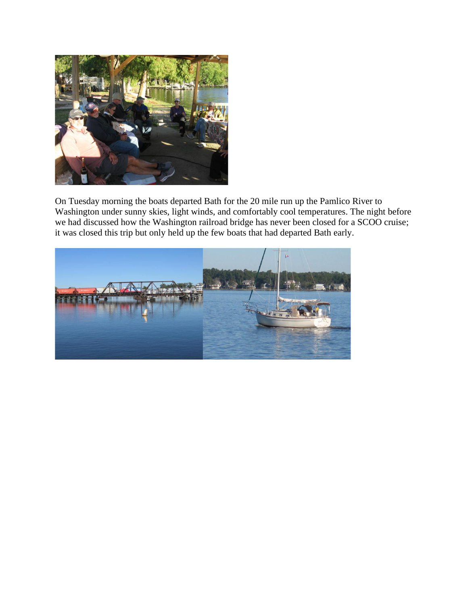

On Tuesday morning the boats departed Bath for the 20 mile run up the Pamlico River to Washington under sunny skies, light winds, and comfortably cool temperatures. The night before we had discussed how the Washington railroad bridge has never been closed for a SCOO cruise; it was closed this trip but only held up the few boats that had departed Bath early.

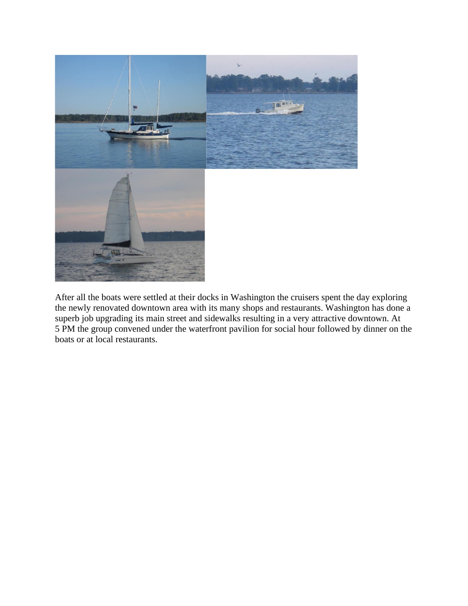

After all the boats were settled at their docks in Washington the cruisers spent the day exploring the newly renovated downtown area with its many shops and restaurants. Washington has done a superb job upgrading its main street and sidewalks resulting in a very attractive downtown. At 5 PM the group convened under the waterfront pavilion for social hour followed by dinner on the boats or at local restaurants.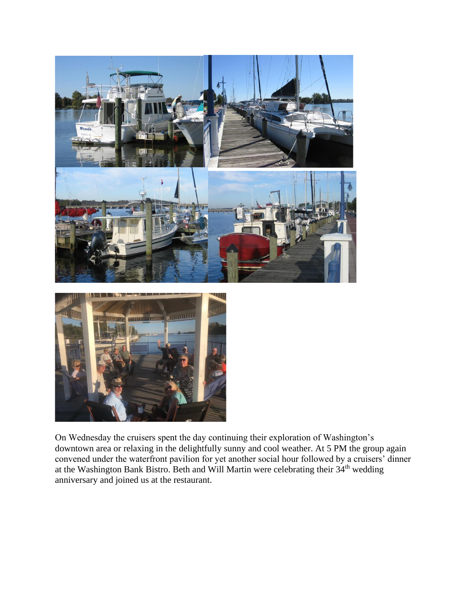



On Wednesday the cruisers spent the day continuing their exploration of Washington's downtown area or relaxing in the delightfully sunny and cool weather. At 5 PM the group again convened under the waterfront pavilion for yet another social hour followed by a cruisers' dinner at the Washington Bank Bistro. Beth and Will Martin were celebrating their 34th wedding anniversary and joined us at the restaurant.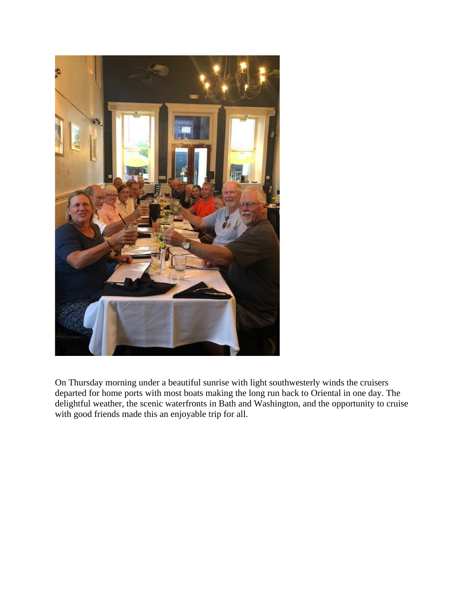

On Thursday morning under a beautiful sunrise with light southwesterly winds the cruisers departed for home ports with most boats making the long run back to Oriental in one day. The delightful weather, the scenic waterfronts in Bath and Washington, and the opportunity to cruise with good friends made this an enjoyable trip for all.